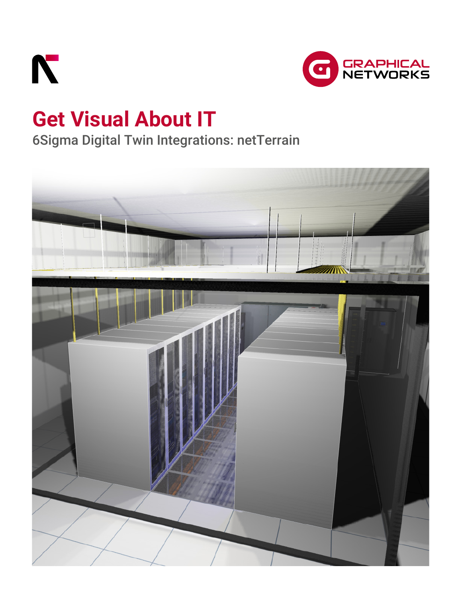



# **Get Visual About IT**

## 6Sigma Digital Twin Integrations: netTerrain

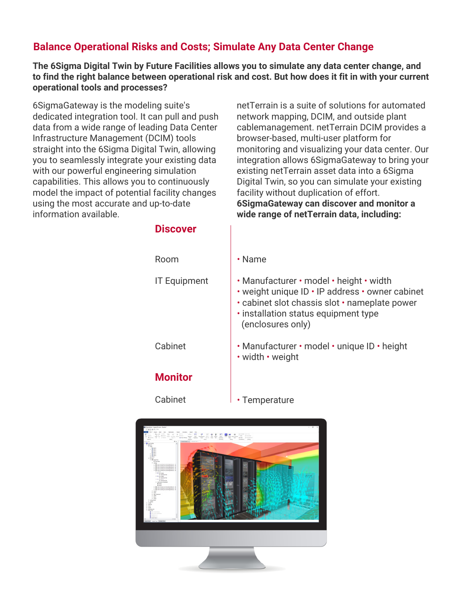## **Balance Operational Risks and Costs; Simulate Any Data Center Change**

**The 6Sigma Digital Twin by Future Facilities allows you to simulate any data center change, and to find the right balance between operational risk and cost. But how does it fit in with your current operational tools and processes?**

6SigmaGateway is the modeling suite's dedicated integration tool. It can pull and push data from a wide range of leading Data Center Infrastructure Management (DCIM) tools straight into the 6Sigma Digital Twin, allowing you to seamlessly integrate your existing data with our powerful engineering simulation capabilities. This allows you to continuously model the impact of potential facility changes using the most accurate and up-to-date information available.

**Discover**

netTerrain is a suite of solutions for automated network mapping, DCIM, and outside plant cablemanagement. netTerrain DCIM provides a browser-based, multi-user platform for monitoring and visualizing your data center. Our integration allows 6SigmaGateway to bring your existing netTerrain asset data into a 6Sigma Digital Twin, so you can simulate your existing facility without duplication of effort. **6SigmaGateway can discover and monitor a wide range of netTerrain data, including:**

| Room                | $\cdot$ Name                                                                                                                                                                                             |
|---------------------|----------------------------------------------------------------------------------------------------------------------------------------------------------------------------------------------------------|
| <b>IT Equipment</b> | · Manufacturer · model · height · width<br>• weight unique ID • IP address • owner cabinet<br>· cabinet slot chassis slot · nameplate power<br>· installation status equipment type<br>(enclosures only) |
| Cabinet             | · Manufacturer · model · unique ID · height<br>· width · weight                                                                                                                                          |
| <b>Monitor</b>      |                                                                                                                                                                                                          |
| Cabinet             | Temperature                                                                                                                                                                                              |